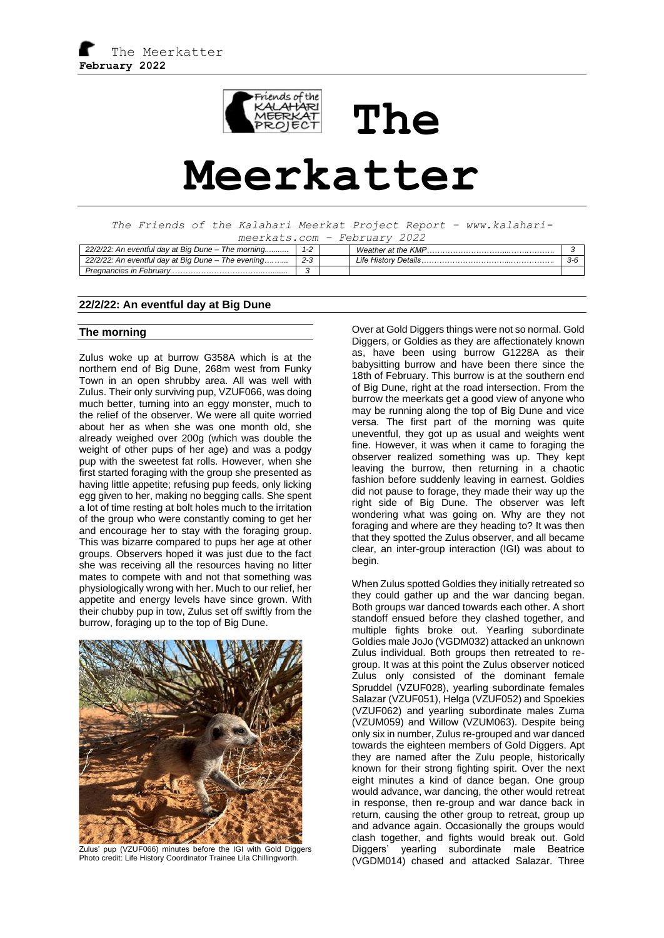

# **Meerkatter**

**The** 

*The Friends of the Kalahari Meerkat Project Report – www.kalaharimeerkats.com – February 2022*

| 22/2/22: An eventful day at Big Dune - The morning |  | Weather at the KMP   |       |
|----------------------------------------------------|--|----------------------|-------|
| 22/2/22: An eventful day at Big Dune - The evening |  | Life History Details | . ゴーじ |
| Pregnancies in February                            |  |                      |       |

## **22/2/22: An eventful day at Big Dune**

#### **The morning**

Zulus woke up at burrow G358A which is at the northern end of Big Dune, 268m west from Funky Town in an open shrubby area. All was well with Zulus. Their only surviving pup, VZUF066, was doing much better, turning into an eggy monster, much to the relief of the observer. We were all quite worried about her as when she was one month old, she already weighed over 200g (which was double the weight of other pups of her age) and was a podgy pup with the sweetest fat rolls. However, when she first started foraging with the group she presented as having little appetite; refusing pup feeds, only licking egg given to her, making no begging calls. She spent a lot of time resting at bolt holes much to the irritation of the group who were constantly coming to get her and encourage her to stay with the foraging group. This was bizarre compared to pups her age at other groups. Observers hoped it was just due to the fact she was receiving all the resources having no litter mates to compete with and not that something was physiologically wrong with her. Much to our relief, her appetite and energy levels have since grown. With their chubby pup in tow, Zulus set off swiftly from the burrow, foraging up to the top of Big Dune.



Zulus' pup (VZUF066) minutes before the IGI with Gold Diggers Photo credit: Life History Coordinator Trainee Lila Chillingworth.

Over at Gold Diggers things were not so normal. Gold Diggers, or Goldies as they are affectionately known as, have been using burrow G1228A as their babysitting burrow and have been there since the 18th of February. This burrow is at the southern end of Big Dune, right at the road intersection. From the burrow the meerkats get a good view of anyone who may be running along the top of Big Dune and vice versa. The first part of the morning was quite uneventful, they got up as usual and weights went fine. However, it was when it came to foraging the observer realized something was up. They kept leaving the burrow, then returning in a chaotic fashion before suddenly leaving in earnest. Goldies did not pause to forage, they made their way up the right side of Big Dune. The observer was left wondering what was going on. Why are they not foraging and where are they heading to? It was then that they spotted the Zulus observer, and all became clear, an inter-group interaction (IGI) was about to begin.

When Zulus spotted Goldies they initially retreated so they could gather up and the war dancing began. Both groups war danced towards each other. A short standoff ensued before they clashed together, and multiple fights broke out. Yearling subordinate Goldies male JoJo (VGDM032) attacked an unknown Zulus individual. Both groups then retreated to regroup. It was at this point the Zulus observer noticed Zulus only consisted of the dominant female Spruddel (VZUF028), yearling subordinate females Salazar (VZUF051), Helga (VZUF052) and Spoekies (VZUF062) and yearling subordinate males Zuma (VZUM059) and Willow (VZUM063). Despite being only six in number, Zulus re-grouped and war danced towards the eighteen members of Gold Diggers. Apt they are named after the Zulu people, historically known for their strong fighting spirit. Over the next eight minutes a kind of dance began. One group would advance, war dancing, the other would retreat in response, then re-group and war dance back in return, causing the other group to retreat, group up and advance again. Occasionally the groups would clash together, and fights would break out. Gold Diggers' yearling subordinate male Beatrice (VGDM014) chased and attacked Salazar. Three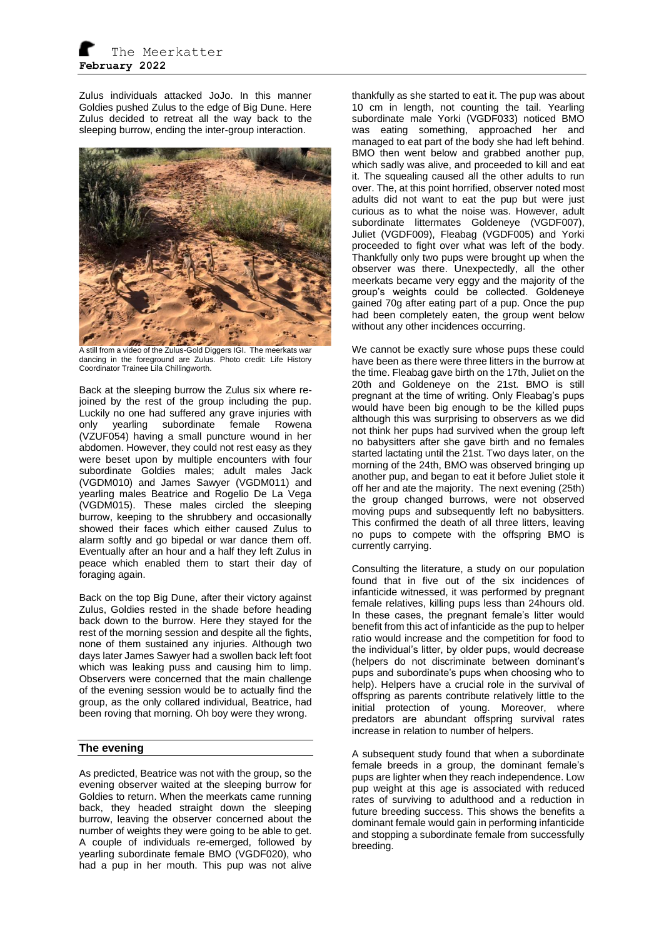Zulus individuals attacked JoJo. In this manner Goldies pushed Zulus to the edge of Big Dune. Here Zulus decided to retreat all the way back to the sleeping burrow, ending the inter-group interaction.



A still from a video of the Zulus-Gold Diggers IGI. The meerkats war dancing in the foreground are Zulus. Photo credit: Life History Coordinator Trainee Lila Chillingworth.

Back at the sleeping burrow the Zulus six where rejoined by the rest of the group including the pup. Luckily no one had suffered any grave injuries with only yearling subordinate female Rowena (VZUF054) having a small puncture wound in her abdomen. However, they could not rest easy as they were beset upon by multiple encounters with four subordinate Goldies males; adult males Jack (VGDM010) and James Sawyer (VGDM011) and yearling males Beatrice and Rogelio De La Vega (VGDM015). These males circled the sleeping burrow, keeping to the shrubbery and occasionally showed their faces which either caused Zulus to alarm softly and go bipedal or war dance them off. Eventually after an hour and a half they left Zulus in peace which enabled them to start their day of foraging again.

Back on the top Big Dune, after their victory against Zulus, Goldies rested in the shade before heading back down to the burrow. Here they stayed for the rest of the morning session and despite all the fights, none of them sustained any injuries. Although two days later James Sawyer had a swollen back left foot which was leaking puss and causing him to limp. Observers were concerned that the main challenge of the evening session would be to actually find the group, as the only collared individual, Beatrice, had been roving that morning. Oh boy were they wrong.

## **The evening**

As predicted, Beatrice was not with the group, so the evening observer waited at the sleeping burrow for Goldies to return. When the meerkats came running back, they headed straight down the sleeping burrow, leaving the observer concerned about the number of weights they were going to be able to get. A couple of individuals re-emerged, followed by yearling subordinate female BMO (VGDF020), who had a pup in her mouth. This pup was not alive

thankfully as she started to eat it. The pup was about 10 cm in length, not counting the tail. Yearling subordinate male Yorki (VGDF033) noticed BMO was eating something, approached her and managed to eat part of the body she had left behind. BMO then went below and grabbed another pup, which sadly was alive, and proceeded to kill and eat it. The squealing caused all the other adults to run over. The, at this point horrified, observer noted most adults did not want to eat the pup but were just curious as to what the noise was. However, adult subordinate littermates Goldeneye (VGDF007), Juliet (VGDF009), Fleabag (VGDF005) and Yorki proceeded to fight over what was left of the body. Thankfully only two pups were brought up when the observer was there. Unexpectedly, all the other meerkats became very eggy and the majority of the group's weights could be collected. Goldeneye gained 70g after eating part of a pup. Once the pup had been completely eaten, the group went below without any other incidences occurring.

We cannot be exactly sure whose pups these could have been as there were three litters in the burrow at the time. Fleabag gave birth on the 17th, Juliet on the 20th and Goldeneye on the 21st. BMO is still pregnant at the time of writing. Only Fleabag's pups would have been big enough to be the killed pups although this was surprising to observers as we did not think her pups had survived when the group left no babysitters after she gave birth and no females started lactating until the 21st. Two days later, on the morning of the 24th, BMO was observed bringing up another pup, and began to eat it before Juliet stole it off her and ate the majority. The next evening (25th) the group changed burrows, were not observed moving pups and subsequently left no babysitters. This confirmed the death of all three litters, leaving no pups to compete with the offspring BMO is currently carrying.

Consulting the literature, a study on our population found that in five out of the six incidences of infanticide witnessed, it was performed by pregnant female relatives, killing pups less than 24hours old. In these cases, the pregnant female's litter would benefit from this act of infanticide as the pup to helper ratio would increase and the competition for food to the individual's litter, by older pups, would decrease (helpers do not discriminate between dominant's pups and subordinate's pups when choosing who to help). Helpers have a crucial role in the survival of offspring as parents contribute relatively little to the initial protection of young. Moreover, where predators are abundant offspring survival rates increase in relation to number of helpers.

A subsequent study found that when a subordinate female breeds in a group, the dominant female's pups are lighter when they reach independence. Low pup weight at this age is associated with reduced rates of surviving to adulthood and a reduction in future breeding success. This shows the benefits a dominant female would gain in performing infanticide and stopping a subordinate female from successfully breeding.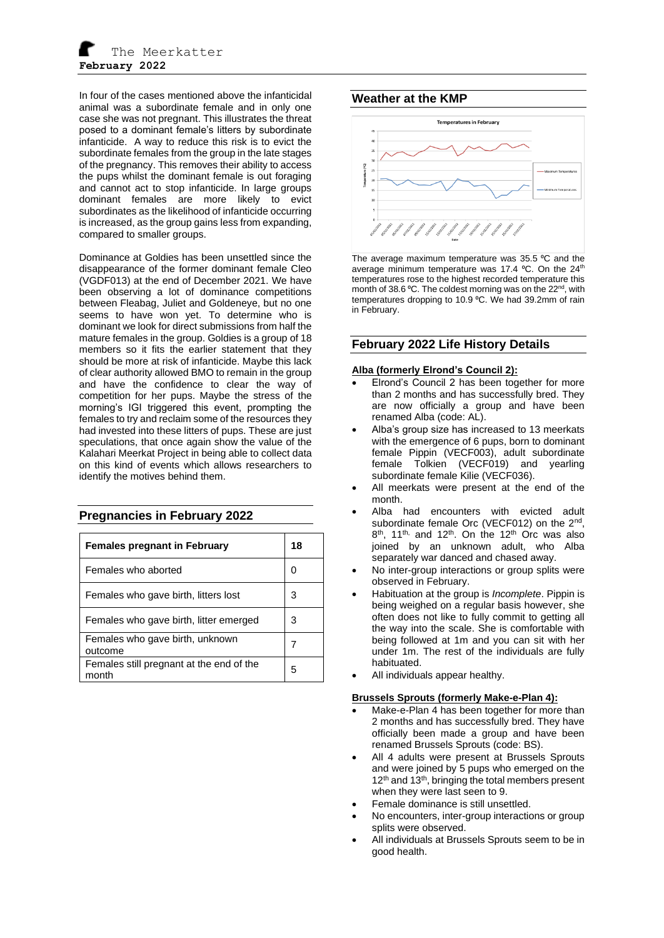In four of the cases mentioned above the infanticidal animal was a subordinate female and in only one case she was not pregnant. This illustrates the threat posed to a dominant female's litters by subordinate infanticide. A way to reduce this risk is to evict the subordinate females from the group in the late stages of the pregnancy. This removes their ability to access the pups whilst the dominant female is out foraging and cannot act to stop infanticide. In large groups dominant females are more likely to evict subordinates as the likelihood of infanticide occurring is increased, as the group gains less from expanding, compared to smaller groups.

Dominance at Goldies has been unsettled since the disappearance of the former dominant female Cleo (VGDF013) at the end of December 2021. We have been observing a lot of dominance competitions between Fleabag, Juliet and Goldeneye, but no one seems to have won yet. To determine who is dominant we look for direct submissions from half the mature females in the group. Goldies is a group of 18 members so it fits the earlier statement that they should be more at risk of infanticide. Maybe this lack of clear authority allowed BMO to remain in the group and have the confidence to clear the way of competition for her pups. Maybe the stress of the morning's IGI triggered this event, prompting the females to try and reclaim some of the resources they had invested into these litters of pups. These are just speculations, that once again show the value of the Kalahari Meerkat Project in being able to collect data on this kind of events which allows researchers to identify the motives behind them.

## **Pregnancies in February 2022**

| <b>Females pregnant in February</b>               | 18 |
|---------------------------------------------------|----|
| Females who aborted                               |    |
| Females who gave birth, litters lost              |    |
| Females who gave birth, litter emerged            | З  |
| Females who gave birth, unknown<br>outcome        |    |
| Females still pregnant at the end of the<br>month | 5  |

# **Weather at the KMP**



The average maximum temperature was 35.5 °C and the average minimum temperature was 17.4 °C. On the 24<sup>th</sup> temperatures rose to the highest recorded temperature this month of 38.6 °C. The coldest morning was on the 22<sup>nd</sup>, with temperatures dropping to 10.9 °C. We had 39.2mm of rain in February.

## **February 2022 Life History Details**

#### **Alba (formerly Elrond's Council 2):**

- Elrond's Council 2 has been together for more than 2 months and has successfully bred. They are now officially a group and have been renamed Alba (code: AL).
- Alba's group size has increased to 13 meerkats with the emergence of 6 pups, born to dominant female Pippin (VECF003), adult subordinate female Tolkien (VECF019) and yearling subordinate female Kilie (VECF036).
- All meerkats were present at the end of the month.
- Alba had encounters with evicted adult subordinate female Orc (VECF012) on the 2<sup>nd</sup>,  $8<sup>th</sup>$ , 11<sup>th,</sup> and 12<sup>th</sup>. On the 12<sup>th</sup> Orc was also joined by an unknown adult, who Alba separately war danced and chased away.
- No inter-group interactions or group splits were observed in February.
- Habituation at the group is *Incomplete*. Pippin is being weighed on a regular basis however, she often does not like to fully commit to getting all the way into the scale. She is comfortable with being followed at 1m and you can sit with her under 1m. The rest of the individuals are fully habituated.
- All individuals appear healthy.

#### **Brussels Sprouts (formerly Make-e-Plan 4):**

- Make-e-Plan 4 has been together for more than 2 months and has successfully bred. They have officially been made a group and have been renamed Brussels Sprouts (code: BS).
- All 4 adults were present at Brussels Sprouts and were joined by 5 pups who emerged on the 12<sup>th</sup> and 13<sup>th</sup>, bringing the total members present when they were last seen to 9.
- Female dominance is still unsettled.
- No encounters, inter-group interactions or group splits were observed.
- All individuals at Brussels Sprouts seem to be in good health.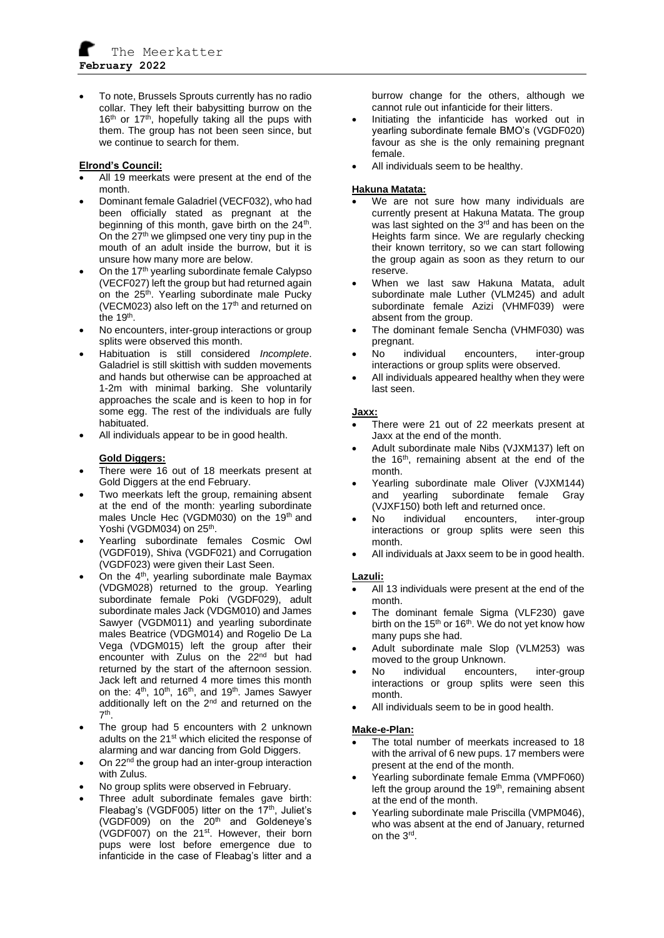• To note, Brussels Sprouts currently has no radio collar. They left their babysitting burrow on the 16<sup>th</sup> or 17<sup>th</sup>, hopefully taking all the pups with them. The group has not been seen since, but we continue to search for them.

## **Elrond's Council:**

- All 19 meerkats were present at the end of the month.
- Dominant female Galadriel (VECF032), who had been officially stated as pregnant at the beginning of this month, gave birth on the  $24<sup>th</sup>$ . On the  $27<sup>th</sup>$  we glimpsed one very tiny pup in the mouth of an adult inside the burrow, but it is unsure how many more are below.
- On the 17<sup>th</sup> yearling subordinate female Calypso (VECF027) left the group but had returned again on the 25<sup>th</sup>. Yearling subordinate male Pucky (VECM023) also left on the 17<sup>th</sup> and returned on the 19<sup>th</sup>.
- No encounters, inter-group interactions or group splits were observed this month.
- Habituation is still considered *Incomplete*. Galadriel is still skittish with sudden movements and hands but otherwise can be approached at 1-2m with minimal barking. She voluntarily approaches the scale and is keen to hop in for some egg. The rest of the individuals are fully habituated.
- All individuals appear to be in good health.

## **Gold Diggers:**

- There were 16 out of 18 meerkats present at Gold Diggers at the end February.
- Two meerkats left the group, remaining absent at the end of the month: yearling subordinate males Uncle Hec (VGDM030) on the 19<sup>th</sup> and Yoshi (VGDM034) on 25<sup>th</sup>.
- Yearling subordinate females Cosmic Owl (VGDF019), Shiva (VGDF021) and Corrugation (VGDF023) were given their Last Seen.
- On the 4<sup>th</sup>, yearling subordinate male Baymax (VDGM028) returned to the group. Yearling subordinate female Poki (VGDF029), adult subordinate males Jack (VDGM010) and James Sawyer (VGDM011) and yearling subordinate males Beatrice (VDGM014) and Rogelio De La Vega (VDGM015) left the group after their encounter with Zulus on the 22<sup>nd</sup> but had returned by the start of the afternoon session. Jack left and returned 4 more times this month on the:  $4<sup>th</sup>$ , 10<sup>th</sup>, 16<sup>th</sup>, and 19<sup>th</sup>. James Sawyer additionally left on the 2<sup>nd</sup> and returned on the 7 th .
- The group had 5 encounters with 2 unknown adults on the 21<sup>st</sup> which elicited the response of alarming and war dancing from Gold Diggers.
- On 22<sup>nd</sup> the group had an inter-group interaction with Zulus.
- No group splits were observed in February.
- Three adult subordinate females gave birth: Fleabag's (VGDF005) litter on the  $17<sup>th</sup>$ , Juliet's (VGDF009) on the 20<sup>th</sup> and Goldeneye's (VGDF007) on the 21<sup>st</sup>. However, their born pups were lost before emergence due to infanticide in the case of Fleabag's litter and a

burrow change for the others, although we cannot rule out infanticide for their litters.

- Initiating the infanticide has worked out in yearling subordinate female BMO's (VGDF020) favour as she is the only remaining pregnant female.
- All individuals seem to be healthy.

## **Hakuna Matata:**

- We are not sure how many individuals are currently present at Hakuna Matata. The group was last sighted on the 3<sup>rd</sup> and has been on the Heights farm since. We are regularly checking their known territory, so we can start following the group again as soon as they return to our reserve.
- When we last saw Hakuna Matata, adult subordinate male Luther (VLM245) and adult subordinate female Azizi (VHMF039) were absent from the group.
- The dominant female Sencha (VHMF030) was pregnant.
- No individual encounters, inter-group interactions or group splits were observed.
- All individuals appeared healthy when they were last seen.

#### **Jaxx:**

- There were 21 out of 22 meerkats present at Jaxx at the end of the month.
- Adult subordinate male Nibs (VJXM137) left on the 16<sup>th</sup>, remaining absent at the end of the month.
- Yearling subordinate male Oliver (VJXM144) and yearling subordinate female Gray (VJXF150) both left and returned once.
- No individual encounters, inter-group interactions or group splits were seen this month.
- All individuals at Jaxx seem to be in good health.

## **Lazuli:**

- All 13 individuals were present at the end of the month.
- The dominant female Sigma (VLF230) gave birth on the  $15<sup>th</sup>$  or  $16<sup>th</sup>$ . We do not yet know how many pups she had.
- Adult subordinate male Slop (VLM253) was moved to the group Unknown.
- No individual encounters, inter-group interactions or group splits were seen this month.
- All individuals seem to be in good health.

## **Make-e-Plan:**

- The total number of meerkats increased to 18 with the arrival of 6 new pups. 17 members were present at the end of the month.
- Yearling subordinate female Emma (VMPF060) left the group around the  $19<sup>th</sup>$ , remaining absent at the end of the month.
- Yearling subordinate male Priscilla (VMPM046), who was absent at the end of January, returned on the 3<sup>rd</sup>.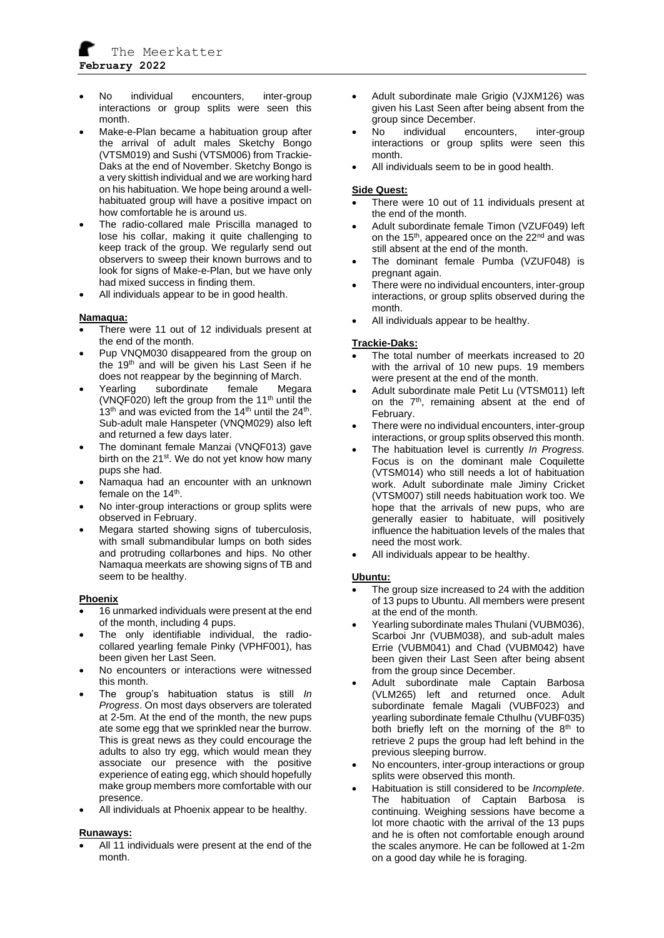

- No individual encounters, inter-group interactions or group splits were seen this month.
- Make-e-Plan became a habituation group after the arrival of adult males Sketchy Bongo (VTSM019) and Sushi (VTSM006) from Trackie-Daks at the end of November. Sketchy Bongo is a very skittish individual and we are working hard on his habituation. We hope being around a wellhabituated group will have a positive impact on how comfortable he is around us.
- The radio-collared male Priscilla managed to lose his collar, making it quite challenging to keep track of the group. We regularly send out observers to sweep their known burrows and to look for signs of Make-e-Plan, but we have only had mixed success in finding them.
- All individuals appear to be in good health.

#### **Namaqua:**

- There were 11 out of 12 individuals present at the end of the month.
- Pup VNQM030 disappeared from the group on the 19<sup>th</sup> and will be given his Last Seen if he does not reappear by the beginning of March.
- Yearling subordinate female Megara (VNQF020) left the group from the  $11<sup>th</sup>$  until the 13<sup>th</sup> and was evicted from the 14<sup>th</sup> until the  $24<sup>th</sup>$ . Sub-adult male Hanspeter (VNQM029) also left and returned a few days later.
- The dominant female Manzai (VNQF013) gave birth on the 21<sup>st</sup>. We do not yet know how many pups she had.
- Namaqua had an encounter with an unknown female on the 14<sup>th</sup>.
- No inter-group interactions or group splits were observed in February.
- Megara started showing signs of tuberculosis, with small submandibular lumps on both sides and protruding collarbones and hips. No other Namaqua meerkats are showing signs of TB and seem to be healthy.

#### **Phoenix**

- 16 unmarked individuals were present at the end of the month, including 4 pups.
- The only identifiable individual, the radiocollared yearling female Pinky (VPHF001), has been given her Last Seen.
- No encounters or interactions were witnessed this month.
- The group's habituation status is still *In Progress*. On most days observers are tolerated at 2-5m. At the end of the month, the new pups ate some egg that we sprinkled near the burrow. This is great news as they could encourage the adults to also try egg, which would mean they associate our presence with the positive experience of eating egg, which should hopefully make group members more comfortable with our presence.
- All individuals at Phoenix appear to be healthy.

#### **Runaways:**

All 11 individuals were present at the end of the month.

- Adult subordinate male Grigio (VJXM126) was given his Last Seen after being absent from the group since December.
- No individual encounters, inter-group interactions or group splits were seen this month.
- All individuals seem to be in good health.

#### **Side Quest:**

- There were 10 out of 11 individuals present at the end of the month.
- Adult subordinate female Timon (VZUF049) left on the 15<sup>th</sup>, appeared once on the 22<sup>nd</sup> and was still absent at the end of the month.
- The dominant female Pumba (VZUF048) is pregnant again.
- There were no individual encounters, inter-group interactions, or group splits observed during the month.
- All individuals appear to be healthy.

## **Trackie-Daks:**

- The total number of meerkats increased to 20 with the arrival of 10 new pups. 19 members were present at the end of the month.
- Adult subordinate male Petit Lu (VTSM011) left on the 7<sup>th</sup>, remaining absent at the end of February.
- There were no individual encounters, inter-group interactions, or group splits observed this month.
- The habituation level is currently *In Progress.* Focus is on the dominant male Coquilette (VTSM014) who still needs a lot of habituation work. Adult subordinate male Jiminy Cricket (VTSM007) still needs habituation work too. We hope that the arrivals of new pups, who are generally easier to habituate, will positively influence the habituation levels of the males that need the most work.
- All individuals appear to be healthy.

#### **Ubuntu:**

- The group size increased to 24 with the addition of 13 pups to Ubuntu. All members were present at the end of the month.
- Yearling subordinate males Thulani (VUBM036), Scarboi Jnr (VUBM038), and sub-adult males Errie (VUBM041) and Chad (VUBM042) have been given their Last Seen after being absent from the group since December.
- Adult subordinate male Captain Barbosa (VLM265) left and returned once. Adult subordinate female Magali (VUBF023) and yearling subordinate female Cthulhu (VUBF035) both briefly left on the morning of the 8<sup>th</sup> to retrieve 2 pups the group had left behind in the previous sleeping burrow.
- No encounters, inter-group interactions or group splits were observed this month.
- Habituation is still considered to be *Incomplete*. The habituation of Captain Barbosa is continuing. Weighing sessions have become a lot more chaotic with the arrival of the 13 pups and he is often not comfortable enough around the scales anymore. He can be followed at 1-2m on a good day while he is foraging.